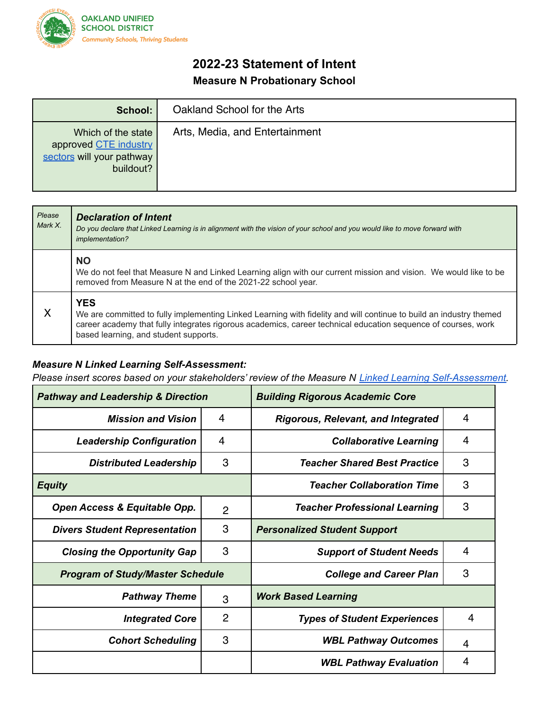

## **2022-23 Statement of Intent Measure N Probationary School**

| School:                                                                               | Oakland School for the Arts    |  |  |  |
|---------------------------------------------------------------------------------------|--------------------------------|--|--|--|
| Which of the state<br>approved CTE industry<br>sectors will your pathway<br>buildout? | Arts, Media, and Entertainment |  |  |  |

| Please<br>Mark X. | <b>Declaration of Intent</b><br>Do you declare that Linked Learning is in alignment with the vision of your school and you would like to move forward with<br>implementation?                                                                                                              |
|-------------------|--------------------------------------------------------------------------------------------------------------------------------------------------------------------------------------------------------------------------------------------------------------------------------------------|
|                   | <b>NO</b><br>We do not feel that Measure N and Linked Learning align with our current mission and vision. We would like to be<br>removed from Measure N at the end of the 2021-22 school year.                                                                                             |
| X                 | <b>YES</b><br>We are committed to fully implementing Linked Learning with fidelity and will continue to build an industry themed<br>career academy that fully integrates rigorous academics, career technical education sequence of courses, work<br>based learning, and student supports. |

## *Measure N Linked Learning Self-Assessment:*

*Please insert scores based on your stakeholders' review of the Measure N Linked Learning Self-Assessment.*

| <b>Pathway and Leadership &amp; Direction</b> |                | <b>Building Rigorous Academic Core</b>    |   |
|-----------------------------------------------|----------------|-------------------------------------------|---|
| <b>Mission and Vision</b>                     | $\overline{4}$ | <b>Rigorous, Relevant, and Integrated</b> | 4 |
| <b>Leadership Configuration</b>               | 4              | <b>Collaborative Learning</b>             | 4 |
| <b>Distributed Leadership</b>                 | 3              | <b>Teacher Shared Best Practice</b>       | 3 |
| <b>Equity</b>                                 |                | <b>Teacher Collaboration Time</b>         | 3 |
| Open Access & Equitable Opp.                  | $\overline{2}$ | <b>Teacher Professional Learning</b>      | 3 |
| <b>Divers Student Representation</b>          | 3              | <b>Personalized Student Support</b>       |   |
| <b>Closing the Opportunity Gap</b>            | 3              | <b>Support of Student Needs</b>           | 4 |
| <b>Program of Study/Master Schedule</b>       |                | <b>College and Career Plan</b>            | 3 |
| <b>Pathway Theme</b>                          | 3              | <b>Work Based Learning</b>                |   |
| <b>Integrated Core</b>                        | $\overline{2}$ | <b>Types of Student Experiences</b>       | 4 |
| <b>Cohort Scheduling</b>                      | 3              | <b>WBL Pathway Outcomes</b>               | 4 |
|                                               |                | <b>WBL Pathway Evaluation</b>             | 4 |